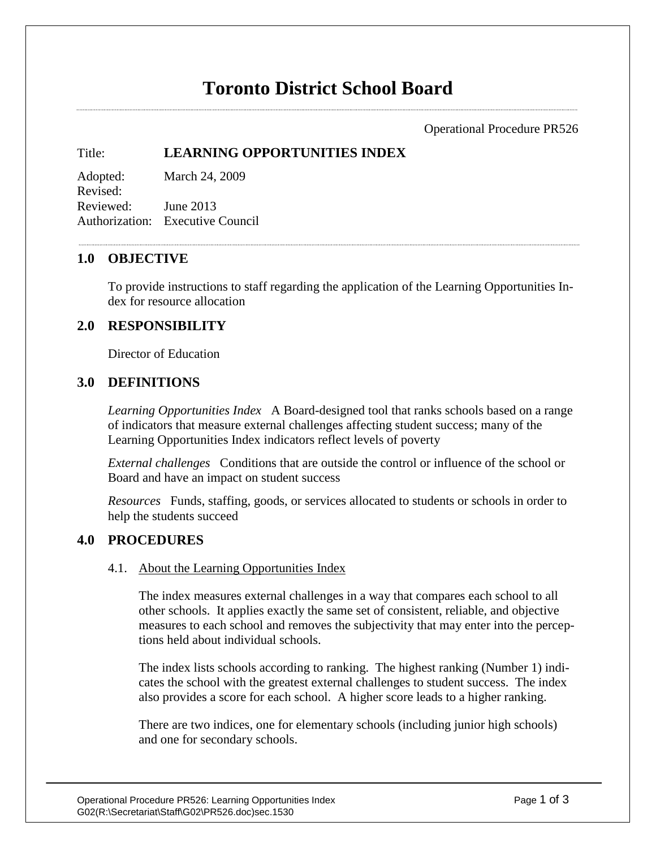# **Toronto District School Board**

Operational Procedure PR526

# Title: **LEARNING OPPORTUNITIES INDEX**

Adopted: March 24, 2009 Revised: Reviewed: June 2013 Authorization: Executive Council

# **1.0 OBJECTIVE**

To provide instructions to staff regarding the application of the Learning Opportunities Index for resource allocation

# **2.0 RESPONSIBILITY**

Director of Education

# **3.0 DEFINITIONS**

*Learning Opportunities Index* A Board-designed tool that ranks schools based on a range of indicators that measure external challenges affecting student success; many of the Learning Opportunities Index indicators reflect levels of poverty

*External challenges* Conditions that are outside the control or influence of the school or Board and have an impact on student success

*Resources* Funds, staffing, goods, or services allocated to students or schools in order to help the students succeed

## **4.0 PROCEDURES**

#### 4.1. About the Learning Opportunities Index

The index measures external challenges in a way that compares each school to all other schools. It applies exactly the same set of consistent, reliable, and objective measures to each school and removes the subjectivity that may enter into the perceptions held about individual schools.

The index lists schools according to ranking. The highest ranking (Number 1) indicates the school with the greatest external challenges to student success. The index also provides a score for each school. A higher score leads to a higher ranking.

There are two indices, one for elementary schools (including junior high schools) and one for secondary schools.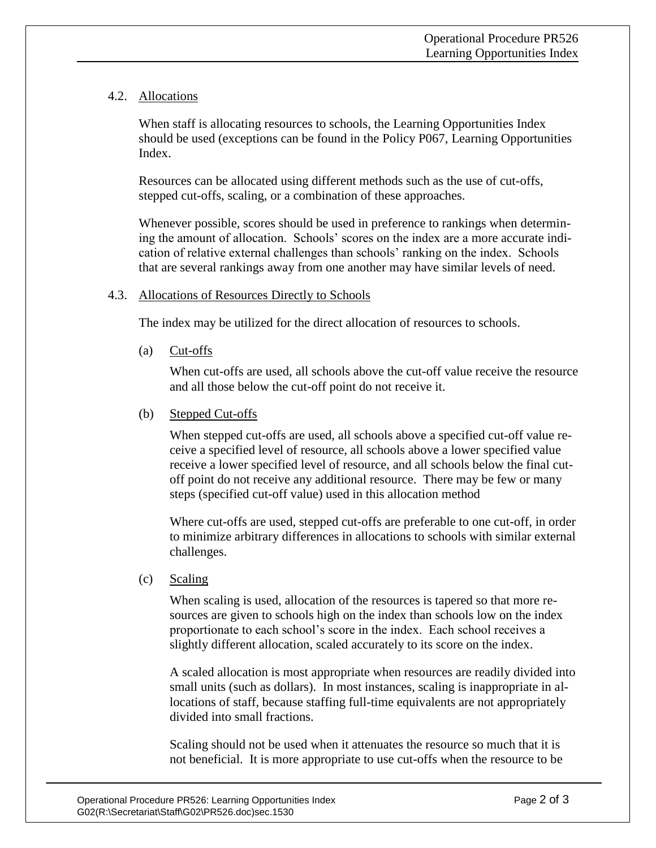## 4.2. Allocations

When staff is allocating resources to schools, the Learning Opportunities Index should be used (exceptions can be found in the Policy P067, Learning Opportunities Index.

Resources can be allocated using different methods such as the use of cut-offs, stepped cut-offs, scaling, or a combination of these approaches.

Whenever possible, scores should be used in preference to rankings when determining the amount of allocation. Schools' scores on the index are a more accurate indication of relative external challenges than schools' ranking on the index. Schools that are several rankings away from one another may have similar levels of need.

## 4.3. Allocations of Resources Directly to Schools

The index may be utilized for the direct allocation of resources to schools.

(a) Cut-offs

When cut-offs are used, all schools above the cut-off value receive the resource and all those below the cut-off point do not receive it.

(b) Stepped Cut-offs

When stepped cut-offs are used, all schools above a specified cut-off value receive a specified level of resource, all schools above a lower specified value receive a lower specified level of resource, and all schools below the final cutoff point do not receive any additional resource. There may be few or many steps (specified cut-off value) used in this allocation method

Where cut-offs are used, stepped cut-offs are preferable to one cut-off, in order to minimize arbitrary differences in allocations to schools with similar external challenges.

(c) Scaling

When scaling is used, allocation of the resources is tapered so that more resources are given to schools high on the index than schools low on the index proportionate to each school's score in the index. Each school receives a slightly different allocation, scaled accurately to its score on the index.

A scaled allocation is most appropriate when resources are readily divided into small units (such as dollars). In most instances, scaling is inappropriate in allocations of staff, because staffing full-time equivalents are not appropriately divided into small fractions.

Scaling should not be used when it attenuates the resource so much that it is not beneficial. It is more appropriate to use cut-offs when the resource to be